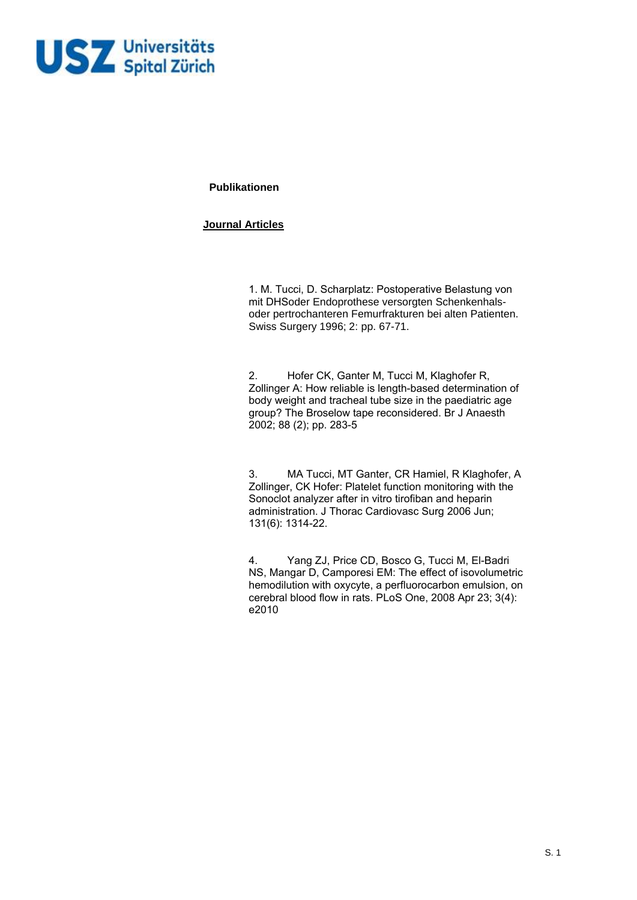

**Publikationen** 

## **Journal Articles**

1. M. Tucci, D. Scharplatz: Postoperative Belastung von mit DHSoder Endoprothese versorgten Schenkenhalsoder pertrochanteren Femurfrakturen bei alten Patienten. Swiss Surgery 1996; 2: pp. 67-71.

2. Hofer CK, Ganter M, Tucci M, Klaghofer R, Zollinger A: How reliable is length-based determination of body weight and tracheal tube size in the paediatric age group? The Broselow tape reconsidered. Br J Anaesth 2002; 88 (2); pp. 283-5

3. MA Tucci, MT Ganter, CR Hamiel, R Klaghofer, A Zollinger, CK Hofer: Platelet function monitoring with the Sonoclot analyzer after in vitro tirofiban and heparin administration. J Thorac Cardiovasc Surg 2006 Jun; 131(6): 1314-22.

4. Yang ZJ, Price CD, Bosco G, Tucci M, El-Badri NS, Mangar D, Camporesi EM: The effect of isovolumetric hemodilution with oxycyte, a perfluorocarbon emulsion, on cerebral blood flow in rats. PLoS One, 2008 Apr 23; 3(4): e2010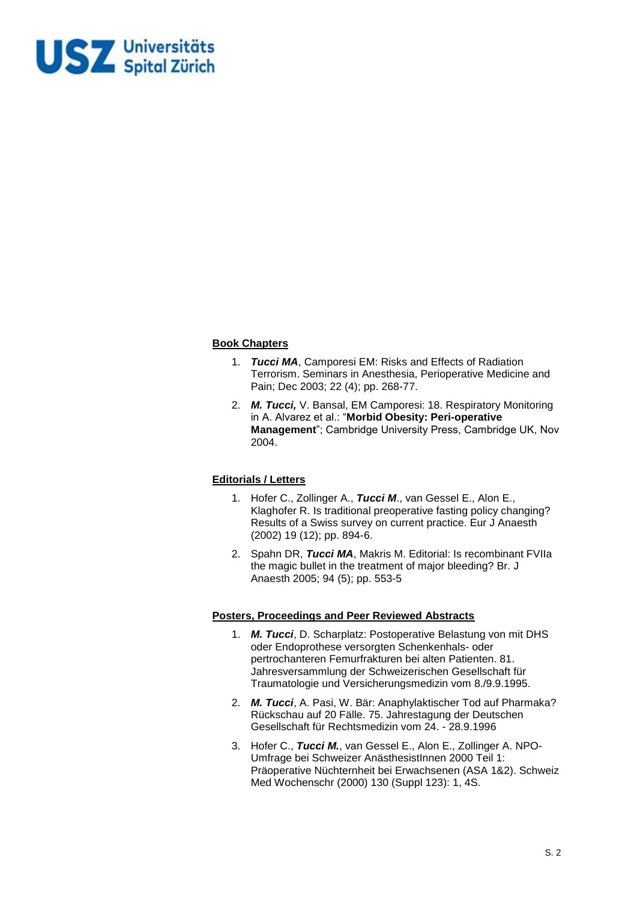

## **Book Chapters**

- 1. *Tucci MA*, Camporesi EM: Risks and Effects of Radiation Terrorism. Seminars in Anesthesia, Perioperative Medicine and Pain; Dec 2003; 22 (4); pp. 268-77.
- 2. *M. Tucci,* V. Bansal, EM Camporesi: 18. Respiratory Monitoring in A. Alvarez et al.: "**Morbid Obesity: Peri-operative Management**"; Cambridge University Press, Cambridge UK, Nov 2004.

#### **Editorials / Letters**

- 1. Hofer C., Zollinger A., *Tucci M*., van Gessel E., Alon E., Klaghofer R. Is traditional preoperative fasting policy changing? Results of a Swiss survey on current practice. Eur J Anaesth (2002) 19 (12); pp. 894-6.
- 2. Spahn DR, *Tucci MA*, Makris M. Editorial: Is recombinant FVIIa the magic bullet in the treatment of major bleeding? Br. J Anaesth 2005; 94 (5); pp. 553-5

# **Posters, Proceedings and Peer Reviewed Abstracts**

- 1. *M. Tucci*, D. Scharplatz: Postoperative Belastung von mit DHS oder Endoprothese versorgten Schenkenhals- oder pertrochanteren Femurfrakturen bei alten Patienten. 81. Jahresversammlung der Schweizerischen Gesellschaft für Traumatologie und Versicherungsmedizin vom 8./9.9.1995.
- 2. *M. Tucci*, A. Pasi, W. Bär: Anaphylaktischer Tod auf Pharmaka? Rückschau auf 20 Fälle. 75. Jahrestagung der Deutschen Gesellschaft für Rechtsmedizin vom 24. - 28.9.1996
- 3. Hofer C., *Tucci M.*, van Gessel E., Alon E., Zollinger A. NPO-Umfrage bei Schweizer AnästhesistInnen 2000 Teil 1: Präoperative Nüchternheit bei Erwachsenen (ASA 1&2). Schweiz Med Wochenschr (2000) 130 (Suppl 123): 1, 4S.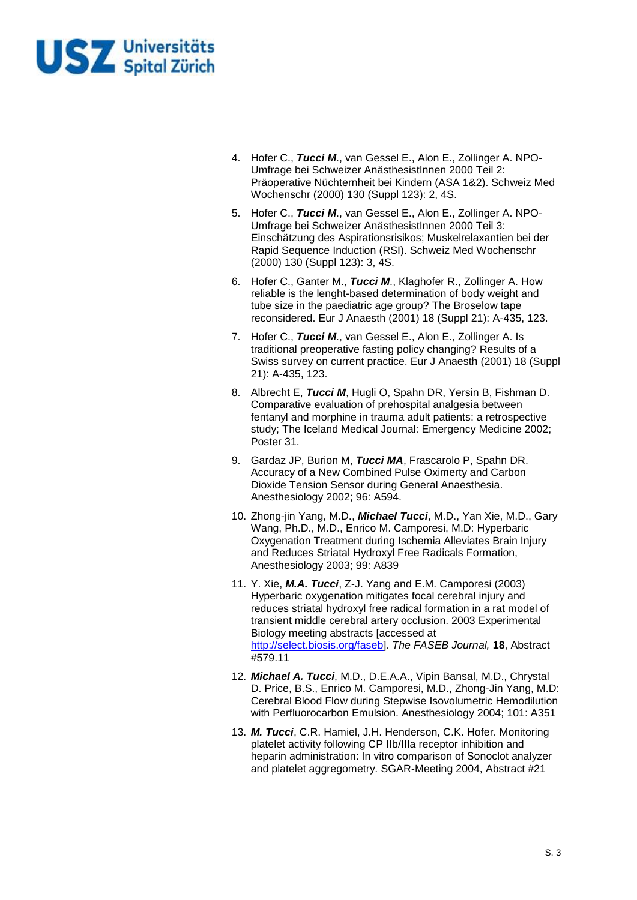

- 4. Hofer C., *Tucci M*., van Gessel E., Alon E., Zollinger A. NPO-Umfrage bei Schweizer AnästhesistInnen 2000 Teil 2: Präoperative Nüchternheit bei Kindern (ASA 1&2). Schweiz Med Wochenschr (2000) 130 (Suppl 123): 2, 4S.
- 5. Hofer C., *Tucci M*., van Gessel E., Alon E., Zollinger A. NPO-Umfrage bei Schweizer AnästhesistInnen 2000 Teil 3: Einschätzung des Aspirationsrisikos; Muskelrelaxantien bei der Rapid Sequence Induction (RSI). Schweiz Med Wochenschr (2000) 130 (Suppl 123): 3, 4S.
- 6. Hofer C., Ganter M., *Tucci M*., Klaghofer R., Zollinger A. How reliable is the lenght-based determination of body weight and tube size in the paediatric age group? The Broselow tape reconsidered. Eur J Anaesth (2001) 18 (Suppl 21): A-435, 123.
- 7. Hofer C., *Tucci M*., van Gessel E., Alon E., Zollinger A. Is traditional preoperative fasting policy changing? Results of a Swiss survey on current practice. Eur J Anaesth (2001) 18 (Suppl 21): A-435, 123.
- 8. Albrecht E, *Tucci M*, Hugli O, Spahn DR, Yersin B, Fishman D. Comparative evaluation of prehospital analgesia between fentanyl and morphine in trauma adult patients: a retrospective study; The Iceland Medical Journal: Emergency Medicine 2002; Poster 31.
- 9. Gardaz JP, Burion M, *Tucci MA*, Frascarolo P, Spahn DR. Accuracy of a New Combined Pulse Oximerty and Carbon Dioxide Tension Sensor during General Anaesthesia. Anesthesiology 2002; 96: A594.
- 10. Zhong-jin Yang, M.D., *Michael Tucci*, M.D., Yan Xie, M.D., Gary Wang, Ph.D., M.D., Enrico M. Camporesi, M.D: Hyperbaric Oxygenation Treatment during Ischemia Alleviates Brain Injury and Reduces Striatal Hydroxyl Free Radicals Formation, Anesthesiology 2003; 99: A839
- 11. Y. Xie, *M.A. Tucci*, Z-J. Yang and E.M. Camporesi (2003) Hyperbaric oxygenation mitigates focal cerebral injury and reduces striatal hydroxyl free radical formation in a rat model of transient middle cerebral artery occlusion. 2003 Experimental Biology meeting abstracts [accessed at [http://select.biosis.org/faseb\]](http://select.biosis.org/faseb). *The FASEB Journal,* **18**, Abstract #579.11
- 12. *Michael A. Tucci*, M.D., D.E.A.A., Vipin Bansal, M.D., Chrystal D. Price, B.S., Enrico M. Camporesi, M.D., Zhong-Jin Yang, M.D: Cerebral Blood Flow during Stepwise Isovolumetric Hemodilution with Perfluorocarbon Emulsion. Anesthesiology 2004; 101: A351
- 13. *M. Tucci*, C.R. Hamiel, J.H. Henderson, C.K. Hofer. Monitoring platelet activity following CP IIb/IIIa receptor inhibition and heparin administration: In vitro comparison of Sonoclot analyzer and platelet aggregometry. SGAR-Meeting 2004, Abstract #21